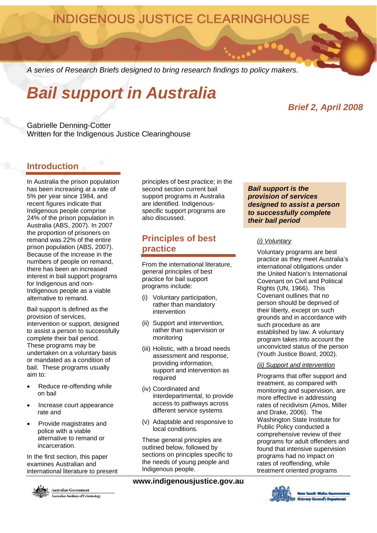**INDIGENOUS JUSTICE CLEARINGHOUSE** 

*A series of Research Briefs designed to bring research findings to policy makers.* 

# *Bail support in Australia*

# *Brief 2, April 2008*

Gabrielle Denning-Cotter Written for the Indigenous Justice Clearinghouse

# **Introduction**

In Australia the prison population has been increasing at a rate of 5% per year since 1984, and recent figures indicate that Indigenous people comprise 24% of the prison population in Australia (ABS, 2007). In 2007 the proportion of prisoners on remand was 22% of the entire prison population (ABS, 2007). Because of the increase in the numbers of people on remand, there has been an increased interest in bail support programs for Indigenous and non-Indigenous people as a viable alternative to remand.

Bail support is defined as the provision of services, intervention or support, designed to assist a person to successfully complete their bail period. These programs may be undertaken on a voluntary basis or mandated as a condition of bail. These programs usually aim to:

- Reduce re-offending while on bail
- Increase court appearance rate and
- Provide magistrates and police with a viable alternative to remand or incarceration.

In the first section, this paper examines Australian and international literature to present



**Australian Government** Australian Institute of Criminology principles of best practice; in the second section current bail support programs in Australia are identified. Indigenousspecific support programs are also discussed.

# **Principles of best practice**

From the international literature, general principles of best practice for bail support programs include:

- (i) Voluntary participation, rather than mandatory intervention
- (ii) Support and intervention, rather than supervision or monitoring
- (iii) Holistic, with a broad needs assessment and response, providing information, support and intervention as required
- (iv) Coordinated and interdepartmental, to provide access to pathways across different service systems
- (v) Adaptable and responsive to local conditions.

These general principles are outlined below, followed by sections on principles specific to the needs of young people and Indigenous people.

**www.indigenousjustice.gov.au** 

*Bail support is the provision of services designed to assist a person to successfully complete their bail period* 

## *(i) Voluntary*

Voluntary programs are best practice as they meet Australia's international obligations under the United Nation's International Covenant on Civil and Political Rights (UN, 1966). This Covenant outlines that no person should be deprived of their liberty, except on such grounds and in accordance with such procedure as are established by law. A voluntary program takes into account the unconvicted status of the person (Youth Justice Board, 2002).

## *(ii) Support and intervention*

Programs that offer support and treatment, as compared with monitoring and supervision, are more effective in addressing rates of recidivism (Amos, Miller and Drake, 2006). The Washington State Institute for Public Policy conducted a comprehensive review of their programs for adult offenders and found that intensive supervision programs had no impact on rates of reoffending, while treatment oriented programs

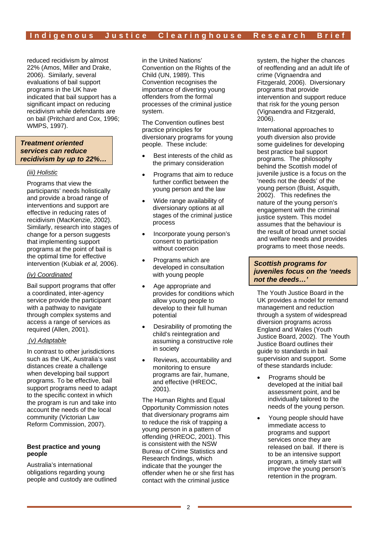reduced recidivism by almost 22% (Amos, Miller and Drake, 2006). Similarly, several evaluations of bail support programs in the UK have indicated that bail support has a significant impact on reducing recidivism while defendants are on bail (Pritchard and Cox, 1996; WMPS, 1997).

## *Treatment oriented services can reduce recidivism by up to 22%…*

## *(iii) Holistic*

Programs that view the participants' needs holistically and provide a broad range of interventions and support are effective in reducing rates of recidivism (MacKenzie, 2002). Similarly, research into stages of change for a person suggests that implementing support programs at the point of bail is the optimal time for effective intervention (Kubiak *et al,* 2006).

## *(iv) Coordinated*

Bail support programs that offer a coordinated, inter-agency service provide the participant with a pathway to navigate through complex systems and access a range of services as required (Allen, 2001).

## *(v) Adaptable*

In contrast to other jurisdictions such as the UK, Australia's vast distances create a challenge when developing bail support programs. To be effective, bail support programs need to adapt to the specific context in which the program is run and take into account the needs of the local community (Victorian Law Reform Commission, 2007).

## **Best practice and young people**

Australia's international obligations regarding young people and custody are outlined in the United Nations' Convention on the Rights of the Child (UN, 1989). This Convention recognises the importance of diverting young offenders from the formal processes of the criminal justice system.

The Convention outlines best practice principles for diversionary programs for young people. These include:

- Best interests of the child as the primary consideration
- Programs that aim to reduce further conflict between the young person and the law
- Wide range availability of diversionary options at all stages of the criminal justice process
- Incorporate young person's consent to participation without coercion
- Programs which are developed in consultation with young people
- Age appropriate and provides for conditions which allow young people to develop to their full human potential
- Desirability of promoting the child's reintegration and assuming a constructive role in society
- Reviews, accountability and monitoring to ensure programs are fair, humane, and effective (HREOC, 2001).

The Human Rights and Equal Opportunity Commission notes that diversionary programs aim to reduce the risk of trapping a young person in a pattern of offending (HREOC, 2001). This is consistent with the NSW Bureau of Crime Statistics and Research findings, which indicate that the younger the offender when he or she first has contact with the criminal justice

system, the higher the chances of reoffending and an adult life of crime (Vignaendra and Fitzgerald, 2006). Diversionary programs that provide intervention and support reduce that risk for the young person (Vignaendra and Fitzgerald, 2006).

International approaches to youth diversion also provide some guidelines for developing best practice bail support programs. The philosophy behind the Scottish model of juvenile justice is a focus on the 'needs not the deeds' of the young person (Buist, Asquith, 2002). This redefines the nature of the young person's engagement with the criminal justice system. This model assumes that the behaviour is the result of broad unmet social and welfare needs and provides programs to meet those needs.

# *Scottish programs for juveniles focus on the 'needs not the deeds…'*

The Youth Justice Board in the UK provides a model for remand management and reduction through a system of widespread diversion programs across England and Wales (Youth Justice Board, 2002). The Youth Justice Board outlines their guide to standards in bail supervision and support. Some of these standards include:

- Programs should be developed at the initial bail assessment point, and be individually tailored to the needs of the young person.
- Young people should have immediate access to programs and support services once they are released on bail. If there is to be an intensive support program, a timely start will improve the young person's retention in the program.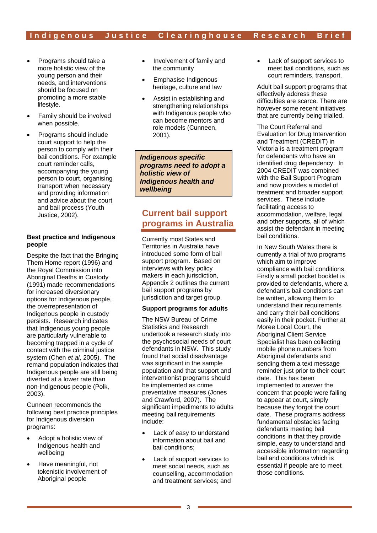- Programs should take a more holistic view of the young person and their needs, and interventions should be focused on promoting a more stable lifestyle.
- Family should be involved when possible.
- Programs should include court support to help the person to comply with their bail conditions. For example court reminder calls, accompanying the young person to court, organising transport when necessary and providing information and advice about the court and bail process (Youth Justice, 2002).

## **Best practice and Indigenous people**

Despite the fact that the Bringing Them Home report (1996) and the Royal Commission into Aboriginal Deaths in Custody (1991) made recommendations for increased diversionary options for Indigenous people, the overrepresentation of Indigenous people in custody persists. Research indicates that Indigenous young people are particularly vulnerable to becoming trapped in a cycle of contact with the criminal justice system (Chen *et al*, 2005). The remand population indicates that Indigenous people are still being diverted at a lower rate than non-Indigenous people (Polk, 2003).

Cunneen recommends the following best practice principles for Indigenous diversion programs:

- Adopt a holistic view of Indigenous health and wellbeing
- Have meaningful, not tokenistic involvement of Aboriginal people
- Involvement of family and the community
- Emphasise Indigenous heritage, culture and law
- Assist in establishing and strengthening relationships with Indigenous people who can become mentors and role models (Cunneen, 2001).

*Indigenous specific programs need to adopt a holistic view of Indigenous health and wellbeing* 

# **Current bail support programs in Australia**

Currently most States and Territories in Australia have introduced some form of bail support program. Based on interviews with key policy makers in each jurisdiction. Appendix 2 outlines the current bail support programs by jurisdiction and target group.

# **Support programs for adults**

The NSW Bureau of Crime Statistics and Research undertook a research study into the psychosocial needs of court defendants in NSW. This study found that social disadvantage was significant in the sample population and that support and interventionist programs should be implemented as crime preventative measures (Jones and Crawford, 2007). The significant impediments to adults meeting bail requirements include:

- Lack of easy to understand information about bail and bail conditions;
- Lack of support services to meet social needs, such as counselling, accommodation and treatment services; and

• Lack of support services to meet bail conditions, such as court reminders, transport.

Adult bail support programs that effectively address these difficulties are scarce. There are however some recent initiatives that are currently being trialled.

The Court Referral and Evaluation for Drug Intervention and Treatment (CREDIT) in Victoria is a treatment program for defendants who have an identified drug dependency. In 2004 CREDIT was combined with the Bail Support Program and now provides a model of treatment and broader support services. These include facilitating access to accommodation, welfare, legal and other supports, all of which assist the defendant in meeting bail conditions.

In New South Wales there is currently a trial of two programs which aim to improve compliance with bail conditions. Firstly a small pocket booklet is provided to defendants, where a defendant's bail conditions can be written, allowing them to understand their requirements and carry their bail conditions easily in their pocket. Further at Moree Local Court, the Aboriginal Client Service Specialist has been collecting mobile phone numbers from Aboriginal defendants and sending them a text message reminder just prior to their court date. This has been implemented to answer the concern that people were failing to appear at court, simply because they forgot the court date. These programs address fundamental obstacles facing defendants meeting bail conditions in that they provide simple, easy to understand and accessible information regarding bail and conditions which is essential if people are to meet those conditions.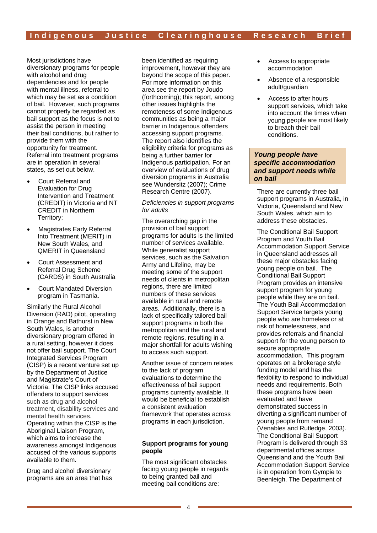Most jurisdictions have diversionary programs for people with alcohol and drug dependencies and for people with mental illness, referral to which may be set as a condition of bail. However, such programs cannot properly be regarded as bail support as the focus is not to assist the person in meeting their bail conditions, but rather to provide them with the opportunity for treatment. Referral into treatment programs are in operation in several states, as set out below.

- Court Referral and Evaluation for Drug Intervention and Treatment (CREDIT) in Victoria and NT CREDIT in Northern Territory;
- Magistrates Early Referral Into Treatment (MERIT) in New South Wales, and QMERIT in Queensland
- Court Assessment and Referral Drug Scheme (CARDS) in South Australia
- Court Mandated Diversion program in Tasmania.

Similarly the Rural Alcohol Diversion (RAD) pilot, operating in Orange and Bathurst in New South Wales, is another diversionary program offered in a rural setting, however it does not offer bail support. The Court Integrated Services Program (CISP) is a recent venture set up by the Department of Justice and Magistrate's Court of Victoria. The CISP links accused offenders to support services such as drug and alcohol treatment, disability services and mental health services. Operating within the CISP is the Aboriginal Liaison Program, which aims to increase the awareness amongst Indigenous accused of the various supports available to them.

Drug and alcohol diversionary programs are an area that has been identified as requiring improvement, however they are beyond the scope of this paper. For more information on this area see the report by Joudo (forthcoming); this report, among other issues highlights the remoteness of some Indigenous communities as being a major barrier in Indigenous offenders accessing support programs. The report also identifies the eligibility criteria for programs as being a further barrier for Indigenous participation. For an overview of evaluations of drug diversion programs in Australia see Wundersitz (2007); Crime Research Centre (2007).

#### *Deficiencies in support programs for adults*

The overarching gap in the provision of bail support programs for adults is the limited number of services available. While generalist support services, such as the Salvation Army and Lifeline, may be meeting some of the support needs of clients in metropolitan regions, there are limited numbers of these services available in rural and remote areas. Additionally, there is a lack of specifically tailored bail support programs in both the metropolitan and the rural and remote regions, resulting in a major shortfall for adults wishing to access such support.

Another issue of concern relates to the lack of program evaluations to determine the effectiveness of bail support programs currently available. It would be beneficial to establish a consistent evaluation framework that operates across programs in each jurisdiction.

## **Support programs for young people**

The most significant obstacles facing young people in regards to being granted bail and meeting bail conditions are:

- Access to appropriate accommodation
- Absence of a responsible adult/guardian
- Access to after hours support services, which take into account the times when young people are most likely to breach their bail conditions.

## *Young people have specific accommodation and support needs while on bail*

There are currently three bail support programs in Australia, in Victoria, Queensland and New South Wales, which aim to address these obstacles.

The Conditional Bail Support Program and Youth Bail Accommodation Support Service in Queensland addresses all these major obstacles facing young people on bail. The Conditional Bail Support Program provides an intensive support program for young people while they are on bail. The Youth Bail Accommodation Support Service targets young people who are homeless or at risk of homelessness, and provides referrals and financial support for the young person to secure appropriate accommodation. This program operates on a brokerage style funding model and has the flexibility to respond to individual needs and requirements. Both these programs have been evaluated and have demonstrated success in diverting a significant number of young people from remand (Venables and Rutledge, 2003). The Conditional Bail Support Program is delivered through 33 departmental offices across Queensland and the Youth Bail Accommodation Support Service is in operation from Gympie to Beenleigh. The Department of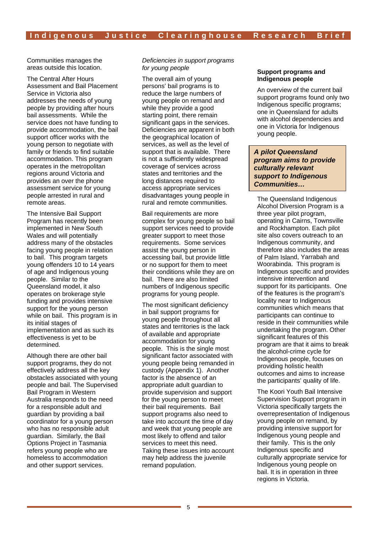Communities manages the areas outside this location.

The Central After Hours Assessment and Bail Placement Service in Victoria also addresses the needs of young people by providing after hours bail assessments. While the service does not have funding to provide accommodation, the bail support officer works with the young person to negotiate with family or friends to find suitable accommodation. This program operates in the metropolitan regions around Victoria and provides an over the phone assessment service for young people arrested in rural and remote areas.

The Intensive Bail Support Program has recently been implemented in New South Wales and will potentially address many of the obstacles facing young people in relation to bail. This program targets young offenders 10 to 14 years of age and Indigenous young people. Similar to the Queensland model, it also operates on brokerage style funding and provides intensive support for the young person while on bail. This program is in its initial stages of implementation and as such its effectiveness is yet to be determined.

Although there are other bail support programs, they do not effectively address all the key obstacles associated with young people and bail. The Supervised Bail Program in Western Australia responds to the need for a responsible adult and guardian by providing a bail coordinator for a young person who has no responsible adult guardian. Similarly, the Bail Options Project in Tasmania refers young people who are homeless to accommodation and other support services.

*Deficiencies in support programs for young people* 

The overall aim of young persons' bail programs is to reduce the large numbers of young people on remand and while they provide a good starting point, there remain significant gaps in the services. Deficiencies are apparent in both the geographical location of services, as well as the level of support that is available. There is not a sufficiently widespread coverage of services across states and territories and the long distances required to access appropriate services disadvantages young people in rural and remote communities.

Bail requirements are more complex for young people so bail support services need to provide greater support to meet those requirements. Some services assist the young person in accessing bail, but provide little or no support for them to meet their conditions while they are on bail. There are also limited numbers of Indigenous specific programs for young people.

The most significant deficiency in bail support programs for young people throughout all states and territories is the lack of available and appropriate accommodation for young people. This is the single most significant factor associated with young people being remanded in custody (Appendix 1). Another factor is the absence of an appropriate adult guardian to provide supervision and support for the young person to meet their bail requirements. Bail support programs also need to take into account the time of day and week that young people are most likely to offend and tailor services to meet this need. Taking these issues into account may help address the juvenile remand population.

#### **Support programs and Indigenous people**

An overview of the current bail support programs found only two Indigenous specific programs; one in Queensland for adults with alcohol dependencies and one in Victoria for Indigenous young people.

## *A pilot Queensland program aims to provide culturally relevant support to Indigenous Communities…*

The Queensland Indigenous Alcohol Diversion Program is a three year pilot program, operating in Cairns, Townsville and Rockhampton. Each pilot site also covers outreach to an Indigenous community, and therefore also includes the areas of Palm Island, Yarrabah and Woorabinda. This program is Indigenous specific and provides intensive intervention and support for its participants. One of the features is the program's locality near to Indigenous communities which means that participants can continue to reside in their communities while undertaking the program. Other significant features of this program are that it aims to break the alcohol-crime cycle for Indigenous people, focuses on providing holistic health outcomes and aims to increase the participants' quality of life.

The Koori Youth Bail Intensive Supervision Support program in Victoria specifically targets the overrepresentation of Indigenous young people on remand, by providing intensive support for Indigenous young people and their family. This is the only Indigenous specific and culturally appropriate service for Indigenous young people on bail. It is in operation in three regions in Victoria.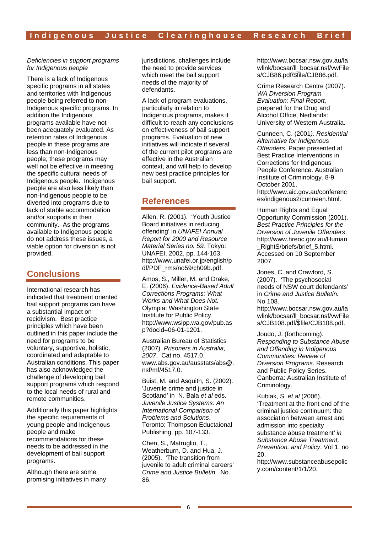## *Deficiencies in support programs for Indigenous people*

There is a lack of Indigenous specific programs in all states and territories with Indigenous people being referred to non-Indigenous specific programs. In addition the Indigenous programs available have not been adequately evaluated. As retention rates of Indigenous people in these programs are less than non-Indigenous people, these programs may well not be effective in meeting the specific cultural needs of Indigenous people. Indigenous people are also less likely than non-Indigenous people to be diverted into programs due to lack of stable accommodation and/or supports in their community. As the programs available to Indigenous people do not address these issues, a viable option for diversion is not provided.

# **Conclusions**

International research has indicated that treatment oriented bail support programs can have a substantial impact on recidivism. Best practice principles which have been outlined in this paper include the need for programs to be voluntary, supportive, holistic, coordinated and adaptable to Australian conditions. This paper has also acknowledged the challenge of developing bail support programs which respond to the local needs of rural and remote communities.

Additionally this paper highlights the specific requirements of young people and Indigenous people and make recommendations for these needs to be addressed in the development of bail support programs.

Although there are some promising initiatives in many jurisdictions, challenges include the need to provide services which meet the bail support needs of the majority of defendants.

A lack of program evaluations, particularly in relation to Indigenous programs, makes it difficult to reach any conclusions on effectiveness of bail support programs. Evaluation of new initiatives will indicate if several of the current pilot programs are effective in the Australian context, and will help to develop new best practice principles for bail support.

# **References**

Allen, R. (2001). 'Youth Justice Board initiatives in reducing offending' in *UNAFEI Annual Report for 2000 and Resource Material Series no. 59.* Tokyo: UNAFEI, 2002, pp. 144-163. http://www.unafei.or.jp/english/p df/PDF\_rms/no59/ch09b.pdf.

Amos, S., Miller, M. and Drake, E. (2006). *Evidence-Based Adult Corrections Programs: What Works and What Does Not.* Olympia: Washington State Institute for Public Policy. http://www.wsipp.wa.gov/pub.as p?docid=06-01-1201.

Australian Bureau of Statistics (2007). *Prisoners in Australia, 2007*. Cat no. 4517.0. www.abs.gov.au/ausstats/abs@.  $nsf/mf/4517.0$ .

Buist, M. and Asquith, S. (2002). 'Juvenile crime and justice in Scotland' in N. Bala *et al* eds. *Juvenile Justice Systems: An International Comparison of Problems and Solutions*. Toronto: Thompson Eductaional Publishing, pp. 107-133.

Chen, S., Matruglio, T., Weatherburn, D. and Hua, J. (2005). 'The transition from juvenile to adult criminal careers' *Crime and Justice Bulletin.* No. 86.

http://www.bocsar.nsw.gov.au/la wlink/bocsar/ll\_bocsar.nsf/vwFile s/CJB86.pdf/\$file/CJB86.pdf.

Crime Research Centre (2007). *WA Diversion Program Evaluation: Final Report,* prepared for the Drug and Alcohol Office, Nedlands: University of Western Australia.

Cunneen, C. (2001*). Residential Alternative for Indigenous Offenders*. Paper presented at Best Practice Interventions in Corrections for Indigenous People Conference. Australian Institute of Criminology. 8-9 October 2001. http://www.aic.gov.au/conferenc es/indigenous2/cunneen.html.

Human Rights and Equal Opportunity Commission (2001). *Best Practice Principles for the Diversion of Juvenile Offenders*. http://www.hreoc.gov.au/Human \_RightS/briefs/brief\_5.html. Accessed on 10 September 2007.

Jones, C. and Crawford, S. (2007). 'The psychosocial needs of NSW court defendants' in *Crime and Justice Bulletin.*  No 108.

http://www.bocsar.nsw.gov.au/la wlink/bocsar/ll\_bocsar.nsf/vwFile s/CJB108.pdf/\$file/CJB108.pdf.

Joudo, J. (forthcoming). *Responding to Substance Abuse and Offending in Indigenous Communities: Review of Diversion Programs*. Research and Public Policy Series. Canberra: Australian Institute of Criminology.

Kubiak, S. *et al* (2006). 'Treatment at the front end of the criminal justice continuum: the association between arrest and admission into specialty substance abuse treatment*' in Substance Abuse Treatment, Prevention, and Policy*. Vol 1, no 20.

http://www.substanceabusepolic y.com/content/1/1/20.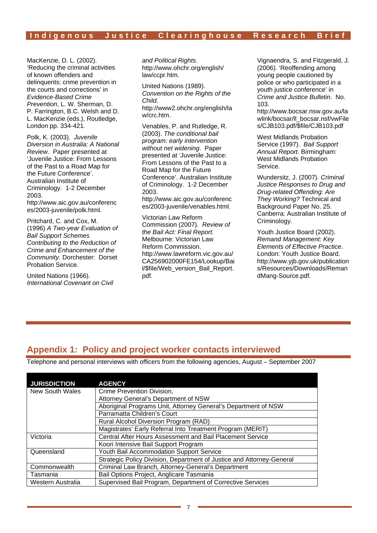# Indigenous Justice Clearinghouse Research Brief

MacKenzie, D. L. (2002). 'Reducing the criminal activities of known offenders and delinquents: crime prevention in the courts and corrections' in *Evidence-Based Crime Prevention*, L. W. Sherman, D. P. Farrington, B.C. Welsh and D. L. MacKenzie (eds.), Routledge, London pp. 334-421.

Polk, K. (2003). *Juvenile Diversion in Australia: A National Review*. Paper presented at 'Juvenile Justice: From Lessons of the Past to a Road Map for the Future Conference'. Australian Institute of Criminology. 1-2 December 2003. http://www.aic.gov.au/conferenc

es/2003-juvenile/polk.html.

Pritchard, C. and Cox, M. (1996) *A Two-year Evaluation of Bail Support Schemes Contributing to the Reduction of Crime and Enhancement of the Community*. Dorchester: Dorset Probation Service.

United Nations (1966). *International Covenant on Civil* 

*and Political Rights*. http://www.ohchr.org/english/ law/ccpr.htm.

United Nations (1989). *Convention on the Rights of the Child*. http://www2.ohchr.org/english/la w/crc.htm.

Venables, P. and Rutledge, R. (2003). *The conditional bail program: early intervention without net widening*. Paper presented at 'Juvenile Justice: From Lessons of the Past to a Road Map for the Future Conference'. Australian Institute of Criminology. 1-2 December 2003. http://www.aic.gov.au/conferenc

es/2003-juvenile/venables.html.

Victorian Law Reform Commission (2007). *Review of the Bail Act: Final Report.*  Melbourne: Victorian Law Reform Commission. http://www.lawreform.vic.gov.au/ CA256902000FE154/Lookup/Bai l/\$file/Web\_version\_Bail\_Report. pdf.

Vignaendra, S. and Fitzgerald, J. (2006). 'Reoffending among young people cautioned by police or who participated in a youth justice conference' in *Crime and Justice Bulletin.* No.  $103$ 

http://www.bocsar.nsw.gov.au/la wlink/bocsar/ll\_bocsar.nsf/vwFile s/CJB103.pdf/\$file/CJB103.pdf

West Midlands Probation Service (1997). *Bail Support Annual Report.* Birmingham: West Midlands Probation Service.

Wundersitz, J. (2007). *Criminal Justice Responses to Drug and Drug-related Offending: Are They Working?* Technical and Background Paper No. 25. Canberra: Australian Institute of Criminology.

Youth Justice Board (2002). *Remand Management: Key Elements of Effective Practice*. London: Youth Justice Board. http://www.yjb.gov.uk/publication s/Resources/Downloads/Reman dMang-Source.pdf.

# **Appendix 1: Policy and project worker contacts interviewed**

Telephone and personal interviews with officers from the following agencies, August – September 2007

| <b>JURISDICTION</b> | <b>AGENCY</b>                                                         |  |
|---------------------|-----------------------------------------------------------------------|--|
| New South Wales     | Crime Prevention Division,                                            |  |
|                     | Attorney General's Department of NSW                                  |  |
|                     | Aboriginal Programs Unit, Attorney General's Department of NSW        |  |
|                     | Parramatta Children's Court                                           |  |
|                     | Rural Alcohol Diversion Program (RAD)                                 |  |
|                     | Magistrates' Early Referral Into Treatment Program (MERIT)            |  |
| Victoria            | <b>Central After Hours Assessment and Bail Placement Service</b>      |  |
|                     | Koori Intensive Bail Support Program                                  |  |
| Queensland          | Youth Bail Accommodation Support Service                              |  |
|                     | Strategic Policy Division, Department of Justice and Attorney-General |  |
| Commonwealth        | Criminal Law Branch, Attorney-General's Department                    |  |
| Tasmania            | Bail Options Project, Anglicare Tasmania                              |  |
| Western Australia   | Supervised Bail Program, Department of Corrective Services            |  |